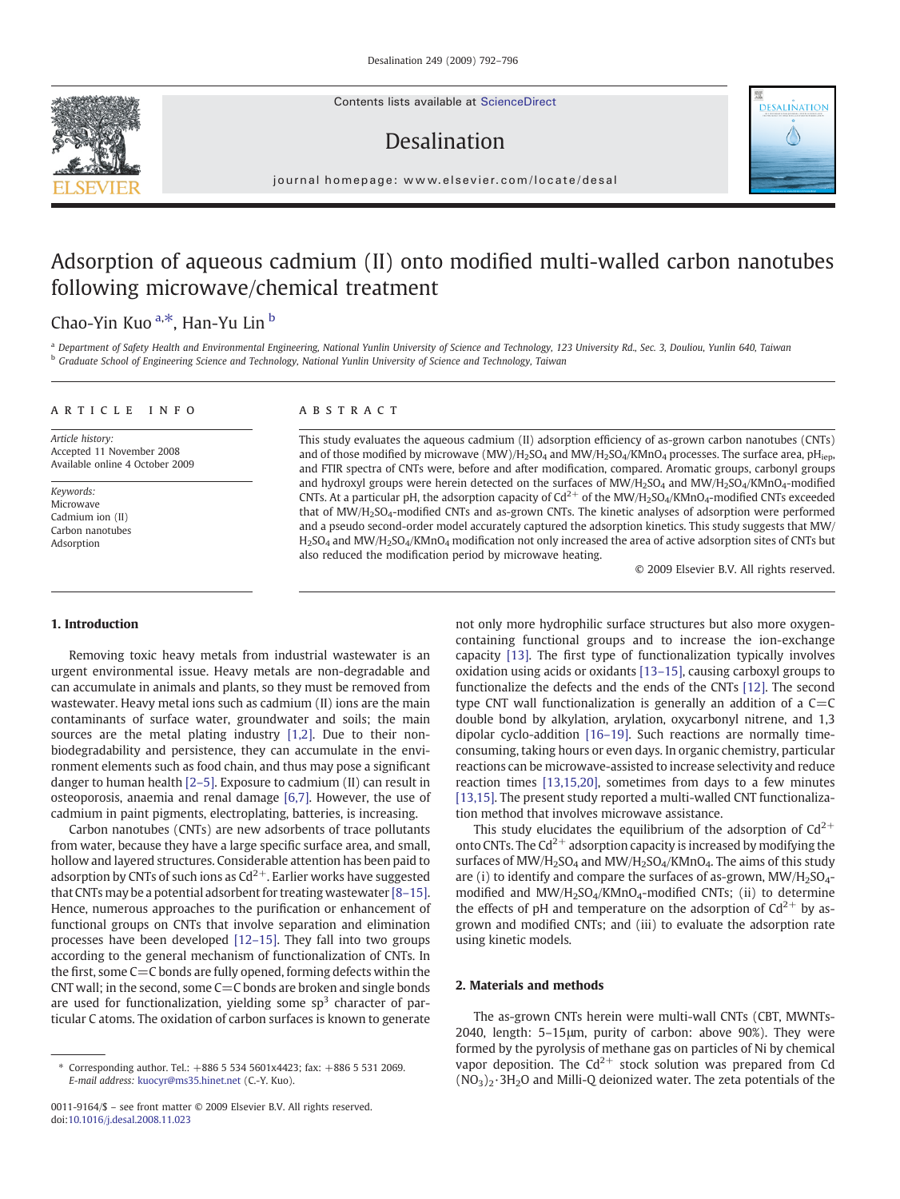Contents lists available at [ScienceDirect](http://www.sciencedirect.com/science/journal/00119164)

# Desalination



journal homepage: www.elsevier.com/locate/desal

# Adsorption of aqueous cadmium (II) onto modified multi-walled carbon nanotubes following microwave/chemical treatment

## Chao-Yin Kuo <sup>a,\*</sup>, Han-Yu Lin <sup>b</sup>

<sup>a</sup> Department of Safety Health and Environmental Engineering, National Yunlin University of Science and Technology, 123 University Rd., Sec. 3, Douliou, Yunlin 640, Taiwan **b Graduate School of Engineering Science and Technology, National Yunlin University of Science and Technology, Taiwan** 

#### article info abstract

Article history: Accepted 11 November 2008 Available online 4 October 2009

Keywords: Microwave Cadmium ion (II) Carbon nanotubes Adsorption

This study evaluates the aqueous cadmium (II) adsorption efficiency of as-grown carbon nanotubes (CNTs) and of those modified by microwave (MW)/H<sub>2</sub>SO<sub>4</sub> and MW/H<sub>2</sub>SO<sub>4</sub>/KMnO<sub>4</sub> processes. The surface area, pH<sub>iep</sub>, and FTIR spectra of CNTs were, before and after modification, compared. Aromatic groups, carbonyl groups and hydroxyl groups were herein detected on the surfaces of  $MW/H<sub>2</sub>SO<sub>4</sub>$  and  $MW/H<sub>2</sub>SO<sub>4</sub>/KMD<sub>4</sub>-modified$ CNTs. At a particular pH, the adsorption capacity of  $Cd^{2+}$  of the MW/H<sub>2</sub>SO<sub>4</sub>/KMnO<sub>4</sub>-modified CNTs exceeded that of MW/H2SO4-modified CNTs and as-grown CNTs. The kinetic analyses of adsorption were performed and a pseudo second-order model accurately captured the adsorption kinetics. This study suggests that MW/  $H_2SO_4$  and MW/H<sub>2</sub>SO<sub>4</sub>/KMnO<sub>4</sub> modification not only increased the area of active adsorption sites of CNTs but also reduced the modification period by microwave heating.

© 2009 Elsevier B.V. All rights reserved.

#### 1. Introduction

Removing toxic heavy metals from industrial wastewater is an urgent environmental issue. Heavy metals are non-degradable and can accumulate in animals and plants, so they must be removed from wastewater. Heavy metal ions such as cadmium (II) ions are the main contaminants of surface water, groundwater and soils; the main sources are the metal plating industry [\[1,2\].](#page-4-0) Due to their nonbiodegradability and persistence, they can accumulate in the environment elements such as food chain, and thus may pose a significant danger to human health [2–[5\]](#page-4-0). Exposure to cadmium (II) can result in osteoporosis, anaemia and renal damage [\[6,7\].](#page-4-0) However, the use of cadmium in paint pigments, electroplating, batteries, is increasing.

Carbon nanotubes (CNTs) are new adsorbents of trace pollutants from water, because they have a large specific surface area, and small, hollow and layered structures. Considerable attention has been paid to adsorption by CNTs of such ions as  $Cd^{2+}$ . Earlier works have suggested that CNTs may be a potential adsorbent for treating wastewater [8–[15\].](#page-4-0) Hence, numerous approaches to the purification or enhancement of functional groups on CNTs that involve separation and elimination processes have been developed [\[12](#page-4-0)–15]. They fall into two groups according to the general mechanism of functionalization of CNTs. In the first, some  $C=C$  bonds are fully opened, forming defects within the CNT wall; in the second, some  $C=C$  bonds are broken and single bonds are used for functionalization, yielding some  $sp<sup>3</sup>$  character of particular C atoms. The oxidation of carbon surfaces is known to generate

not only more hydrophilic surface structures but also more oxygencontaining functional groups and to increase the ion-exchange capacity [\[13\]](#page-4-0). The first type of functionalization typically involves oxidation using acids or oxidants [13–[15\],](#page-4-0) causing carboxyl groups to functionalize the defects and the ends of the CNTs [\[12\].](#page-4-0) The second type CNT wall functionalization is generally an addition of a  $C=C$ double bond by alkylation, arylation, oxycarbonyl nitrene, and 1,3 dipolar cyclo-addition [16–[19\]](#page-4-0). Such reactions are normally timeconsuming, taking hours or even days. In organic chemistry, particular reactions can be microwave-assisted to increase selectivity and reduce reaction times [\[13,15,20\],](#page-4-0) sometimes from days to a few minutes [\[13,15\]](#page-4-0). The present study reported a multi-walled CNT functionalization method that involves microwave assistance.

This study elucidates the equilibrium of the adsorption of  $Cd^{2+}$ onto CNTs. The  $Cd^{2+}$  adsorption capacity is increased by modifying the surfaces of  $MW/H<sub>2</sub>SO<sub>4</sub>$  and  $MW/H<sub>2</sub>SO<sub>4</sub>/KMnO<sub>4</sub>$ . The aims of this study are (i) to identify and compare the surfaces of as-grown,  $MW/H<sub>2</sub>SO<sub>4</sub>$ modified and  $MW/H<sub>2</sub>SO<sub>4</sub>/KMnO<sub>4</sub>$ -modified CNTs; (ii) to determine the effects of pH and temperature on the adsorption of  $Cd^{2+}$  by asgrown and modified CNTs; and (iii) to evaluate the adsorption rate using kinetic models.

#### 2. Materials and methods

The as-grown CNTs herein were multi-wall CNTs (CBT, MWNTs-2040, length: 5–15μm, purity of carbon: above 90%). They were formed by the pyrolysis of methane gas on particles of Ni by chemical vapor deposition. The  $Cd^{2+}$  stock solution was prepared from Cd  $(NO<sub>3</sub>)<sub>2</sub>·3H<sub>2</sub>O$  and Milli-Q deionized water. The zeta potentials of the



<sup>⁎</sup> Corresponding author. Tel.: +886 5 534 5601x4423; fax: +886 5 531 2069. E-mail address: [kuocyr@ms35.hinet.net](mailto:kuocyr@ms35.hinet.net) (C.-Y. Kuo).

<sup>0011-9164/\$</sup> – see front matter © 2009 Elsevier B.V. All rights reserved. doi[:10.1016/j.desal.2008.11.023](http://dx.doi.org/10.1016/j.desal.2008.11.023)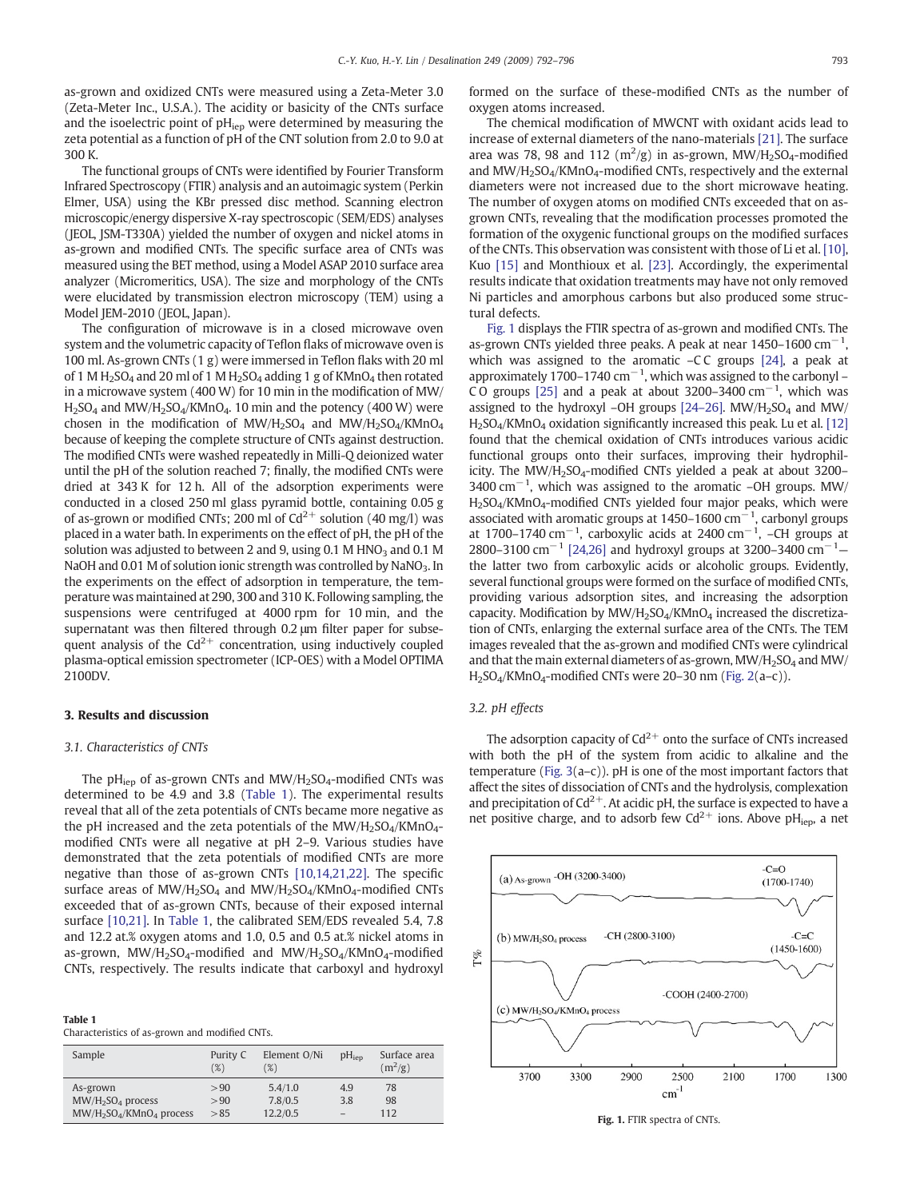as-grown and oxidized CNTs were measured using a Zeta-Meter 3.0 (Zeta-Meter Inc., U.S.A.). The acidity or basicity of the CNTs surface and the isoelectric point of  $pH_{\text{iep}}$  were determined by measuring the zeta potential as a function of pH of the CNT solution from 2.0 to 9.0 at 300 K.

The functional groups of CNTs were identified by Fourier Transform Infrared Spectroscopy (FTIR) analysis and an autoimagic system (Perkin Elmer, USA) using the KBr pressed disc method. Scanning electron microscopic/energy dispersive X-ray spectroscopic (SEM/EDS) analyses (JEOL, JSM-T330A) yielded the number of oxygen and nickel atoms in as-grown and modified CNTs. The specific surface area of CNTs was measured using the BET method, using a Model ASAP 2010 surface area analyzer (Micromeritics, USA). The size and morphology of the CNTs were elucidated by transmission electron microscopy (TEM) using a Model JEM-2010 (JEOL, Japan).

The configuration of microwave is in a closed microwave oven system and the volumetric capacity of Teflon flaks of microwave oven is 100 ml. As-grown CNTs (1 g) were immersed in Teflon flaks with 20 ml of 1 M H<sub>2</sub>SO<sub>4</sub> and 20 ml of 1 M H<sub>2</sub>SO<sub>4</sub> adding 1 g of KMnO<sub>4</sub> then rotated in a microwave system (400 W) for 10 min in the modification of MW/  $H<sub>2</sub>SO<sub>4</sub>$  and MW/ $H<sub>2</sub>SO<sub>4</sub>$ /KMnO<sub>4</sub>. 10 min and the potency (400 W) were chosen in the modification of  $MW/H_2SO_4$  and  $MW/H_2SO_4/KMnO_4$ because of keeping the complete structure of CNTs against destruction. The modified CNTs were washed repeatedly in Milli-Q deionized water until the pH of the solution reached 7; finally, the modified CNTs were dried at 343 K for 12 h. All of the adsorption experiments were conducted in a closed 250 ml glass pyramid bottle, containing 0.05 g of as-grown or modified CNTs; 200 ml of  $Cd^{2+}$  solution (40 mg/l) was placed in a water bath. In experiments on the effect of pH, the pH of the solution was adjusted to between 2 and 9, using 0.1 M HNO<sub>3</sub> and 0.1 M NaOH and 0.01 M of solution ionic strength was controlled by NaNO<sub>3</sub>. In the experiments on the effect of adsorption in temperature, the temperature was maintained at 290, 300 and 310 K. Following sampling, the suspensions were centrifuged at 4000 rpm for 10 min, and the supernatant was then filtered through 0.2 μm filter paper for subsequent analysis of the  $Cd^{2+}$  concentration, using inductively coupled plasma-optical emission spectrometer (ICP-OES) with a Model OPTIMA 2100DV.

#### 3. Results and discussion

#### 3.1. Characteristics of CNTs

The pH<sub>iep</sub> of as-grown CNTs and MW/H<sub>2</sub>SO<sub>4</sub>-modified CNTs was determined to be 4.9 and 3.8 (Table 1). The experimental results reveal that all of the zeta potentials of CNTs became more negative as the pH increased and the zeta potentials of the  $MW/H<sub>2</sub>SO<sub>4</sub>/KMnO<sub>4</sub>$ modified CNTs were all negative at pH 2–9. Various studies have demonstrated that the zeta potentials of modified CNTs are more negative than those of as-grown CNTs [\[10,14,21,22\].](#page-4-0) The specific surface areas of  $MW/H<sub>2</sub>SO<sub>4</sub>$  and  $MW/H<sub>2</sub>SO<sub>4</sub>/KMnO<sub>4</sub>$ -modified CNTs exceeded that of as-grown CNTs, because of their exposed internal surface [\[10,21\]](#page-4-0). In Table 1, the calibrated SEM/EDS revealed 5.4, 7.8 and 12.2 at.% oxygen atoms and 1.0, 0.5 and 0.5 at.% nickel atoms in as-grown,  $MW/H<sub>2</sub>SO<sub>4</sub>$ -modified and  $MW/H<sub>2</sub>SO<sub>4</sub>/KMnO<sub>4</sub>$ -modified CNTs, respectively. The results indicate that carboxyl and hydroxyl

| iavic i                                        |  |  |
|------------------------------------------------|--|--|
| Characteristics of as-grown and modified CNTs. |  |  |

Table 1

| Sample                                    | Purity C<br>$(\%)$ | Element O/Ni<br>$(\%)$ | pH <sub>iep</sub>        | Surface area<br>$(m^2/g)$ |
|-------------------------------------------|--------------------|------------------------|--------------------------|---------------------------|
| As-grown                                  | > 90               | 5.4/1.0                | 4.9                      | 78                        |
| MW/H <sub>2</sub> SO <sub>4</sub> process | > 90               | 7.8/0.5                | 3.8                      | 98                        |
| $MW/H2SO4/KMnO4$ process                  | > 85               | 12.2/0.5               | $\overline{\phantom{0}}$ | 112                       |

formed on the surface of these-modified CNTs as the number of oxygen atoms increased.

The chemical modification of MWCNT with oxidant acids lead to increase of external diameters of the nano-materials [\[21\]](#page-4-0). The surface area was 78, 98 and 112 ( $\rm m^2/g$ ) in as-grown, MW/H<sub>2</sub>SO<sub>4</sub>-modified and  $MW/H<sub>2</sub>SO<sub>4</sub>/KMnO<sub>4</sub>$ -modified CNTs, respectively and the external diameters were not increased due to the short microwave heating. The number of oxygen atoms on modified CNTs exceeded that on asgrown CNTs, revealing that the modification processes promoted the formation of the oxygenic functional groups on the modified surfaces of the CNTs. This observation was consistent with those of Li et al. [\[10\],](#page-4-0) Kuo [\[15\]](#page-4-0) and Monthioux et al. [\[23\]](#page-4-0). Accordingly, the experimental results indicate that oxidation treatments may have not only removed Ni particles and amorphous carbons but also produced some structural defects.

Fig. 1 displays the FTIR spectra of as-grown and modified CNTs. The as-grown CNTs yielded three peaks. A peak at near  $1450-1600$  cm<sup>-1</sup>, which was assigned to the aromatic  $-CC$  groups  $[24]$ , a peak at approximately 1700–1740  $cm^{-1}$ , which was assigned to the carbonyl – CO groups [\[25\]](#page-4-0) and a peak at about 3200–3400 cm<sup>-1</sup>, which was assigned to the hydroxyl –OH groups  $[24-26]$  $[24-26]$ . MW/H<sub>2</sub>SO<sub>4</sub> and MW/ H2SO4/KMnO4 oxidation significantly increased this peak. Lu et al. [\[12\]](#page-4-0) found that the chemical oxidation of CNTs introduces various acidic functional groups onto their surfaces, improving their hydrophilicity. The  $MW/H<sub>2</sub>SO<sub>4</sub>$ -modified CNTs yielded a peak at about 3200– 3400 cm<sup>-1</sup>, which was assigned to the aromatic -OH groups. MW/ H<sub>2</sub>SO<sub>4</sub>/KMnO<sub>4</sub>-modified CNTs yielded four major peaks, which were associated with aromatic groups at 1450–1600 cm−<sup>1</sup> , carbonyl groups at 1700–1740 cm<sup>-1</sup>, carboxylic acids at 2400 cm<sup>-1</sup>, -CH groups at 2800–3100 cm<sup>-1</sup> [\[24,26\]](#page-4-0) and hydroxyl groups at 3200–3400 cm<sup>-1</sup>– the latter two from carboxylic acids or alcoholic groups. Evidently, several functional groups were formed on the surface of modified CNTs, providing various adsorption sites, and increasing the adsorption capacity. Modification by MW/H<sub>2</sub>SO<sub>4</sub>/KMnO<sub>4</sub> increased the discretization of CNTs, enlarging the external surface area of the CNTs. The TEM images revealed that the as-grown and modified CNTs were cylindrical and that the main external diameters of as-grown,  $MW/H<sub>2</sub>SO<sub>4</sub>$  and  $MW/$  $H_2SO_4/KMnO_4$ -modified CNTs were 20–30 nm ([Fig. 2](#page-2-0)(a–c)).

#### 3.2. pH effects

The adsorption capacity of  $Cd^{2+}$  onto the surface of CNTs increased with both the pH of the system from acidic to alkaline and the temperature [\(Fig. 3](#page-2-0)(a–c)). pH is one of the most important factors that affect the sites of dissociation of CNTs and the hydrolysis, complexation and precipitation of  $Cd^{2+}$ . At acidic pH, the surface is expected to have a net positive charge, and to adsorb few  $Cd^{2+}$  ions. Above pH<sub>iep</sub>, a net



Fig. 1. FTIR spectra of CNTs.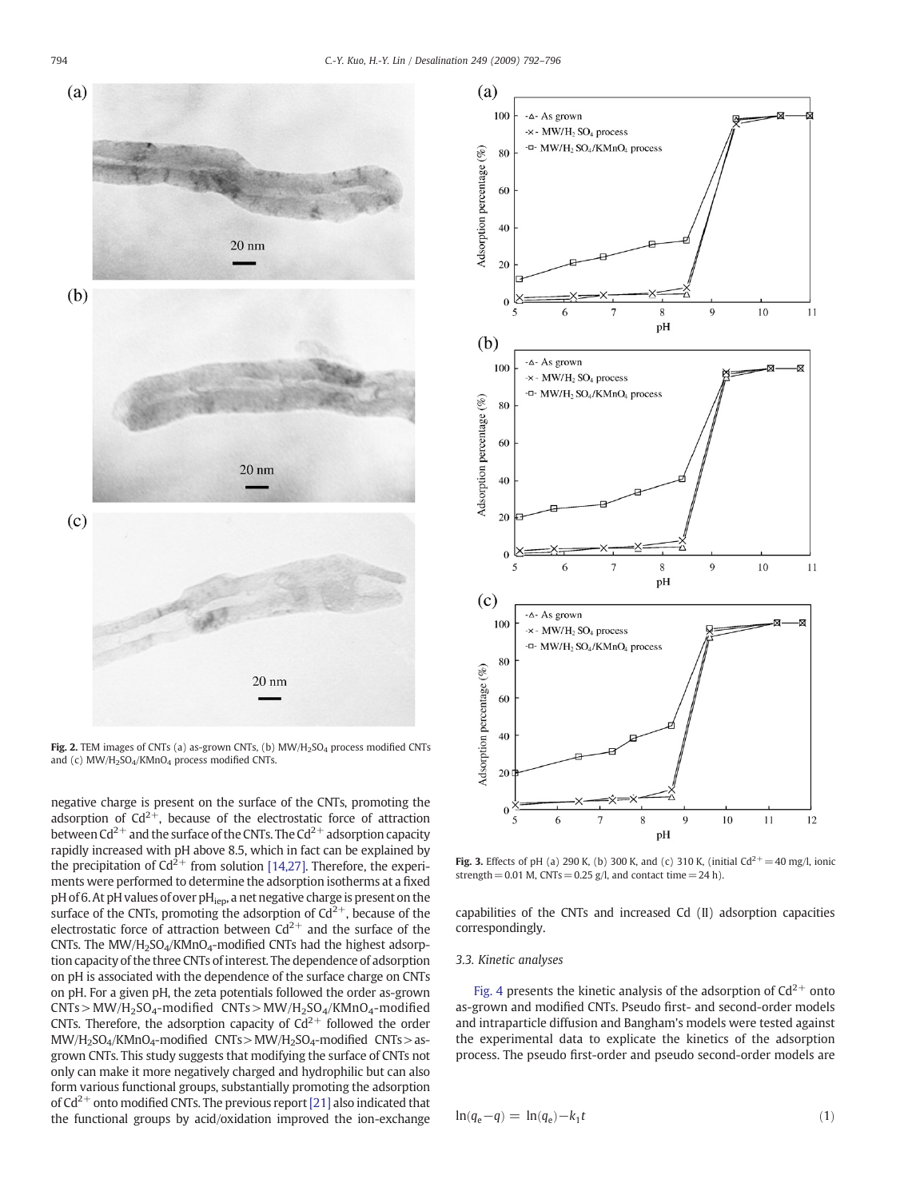<span id="page-2-0"></span>

Fig. 2. TEM images of CNTs (a) as-grown CNTs, (b)  $MW/H<sub>2</sub>SO<sub>4</sub>$  process modified CNTs and (c) MW/H<sub>2</sub>SO<sub>4</sub>/KMnO<sub>4</sub> process modified CNTs.

negative charge is present on the surface of the CNTs, promoting the adsorption of  $Cd^{2+}$ , because of the electrostatic force of attraction between  $Cd^{2+}$  and the surface of the CNTs. The  $Cd^{2+}$  adsorption capacity rapidly increased with pH above 8.5, which in fact can be explained by the precipitation of  $Cd^{2+}$  from solution [\[14,27\]](#page-4-0). Therefore, the experiments were performed to determine the adsorption isotherms at a fixed pH of 6. At pH values of over pH<sub>iep</sub>, a net negative charge is present on the surface of the CNTs, promoting the adsorption of  $Cd^{2+}$ , because of the electrostatic force of attraction between  $Cd^{2+}$  and the surface of the CNTs. The MW/H2SO4/KMnO4-modified CNTs had the highest adsorption capacity of the three CNTs of interest. The dependence of adsorption on pH is associated with the dependence of the surface charge on CNTs on pH. For a given pH, the zeta potentials followed the order as-grown  $CNTs > MW/H<sub>2</sub>SO<sub>4</sub>-modified  $CNTs > MW/H<sub>2</sub>SO<sub>4</sub>/KMnO<sub>4</sub>-modified$$ CNTs. Therefore, the adsorption capacity of  $Cd^{2+}$  followed the order MW/H<sub>2</sub>SO<sub>4</sub>/KMnO<sub>4</sub>-modified CNTs > MW/H<sub>2</sub>SO<sub>4</sub>-modified CNTs > asgrown CNTs. This study suggests that modifying the surface of CNTs not only can make it more negatively charged and hydrophilic but can also form various functional groups, substantially promoting the adsorption of  $Cd^{2+}$  onto modified CNTs. The previous report [\[21\]](#page-4-0) also indicated that the functional groups by acid/oxidation improved the ion-exchange



**Fig. 3.** Effects of pH (a) 290 K, (b) 300 K, and (c) 310 K, (initial Cd<sup>2+</sup> = 40 mg/l, ionic strength =  $0.01$  M, CNTs =  $0.25$  g/l, and contact time =  $24$  h).

capabilities of the CNTs and increased Cd (II) adsorption capacities correspondingly.

#### 3.3. Kinetic analyses

[Fig. 4](#page-3-0) presents the kinetic analysis of the adsorption of  $Cd^{2+}$  onto as-grown and modified CNTs. Pseudo first- and second-order models and intraparticle diffusion and Bangham's models were tested against the experimental data to explicate the kinetics of the adsorption process. The pseudo first-order and pseudo second-order models are

$$
\ln(q_e - q) = \ln(q_e) - k_1 t \tag{1}
$$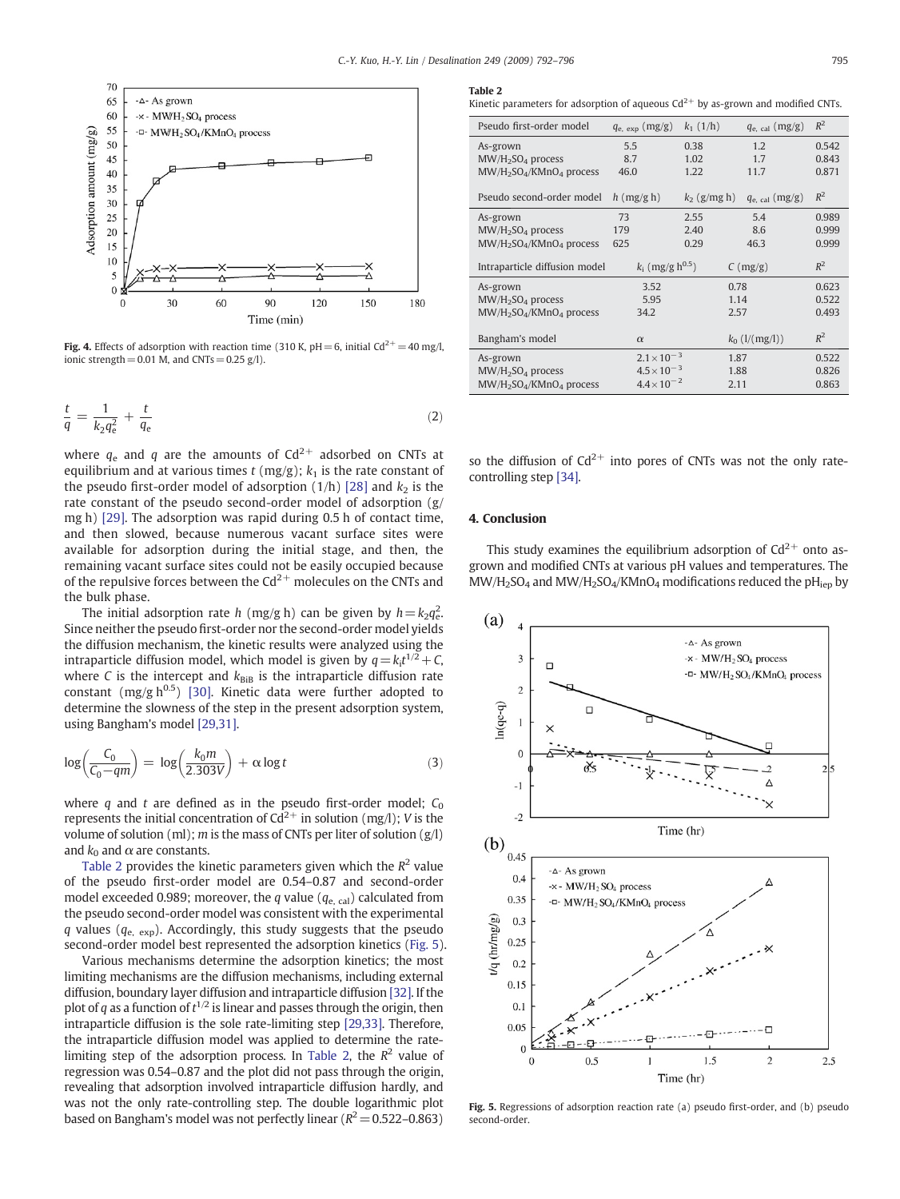<span id="page-3-0"></span>

Fig. 4. Effects of adsorption with reaction time (310 K, pH = 6, initial Cd<sup>2+</sup> = 40 mg/l, ionic strength = 0.01 M, and CNTs =  $0.25$  g/l).

$$
\frac{t}{q} = \frac{1}{k_2 q_e^2} + \frac{t}{q_e} \tag{2}
$$

where  $q_e$  and q are the amounts of Cd<sup>2+</sup> adsorbed on CNTs at equilibrium and at various times  $t$  (mg/g);  $k<sub>1</sub>$  is the rate constant of the pseudo first-order model of adsorption  $(1/h)$  [\[28\]](#page-4-0) and  $k<sub>2</sub>$  is the rate constant of the pseudo second-order model of adsorption (g/ mg h) [\[29\].](#page-4-0) The adsorption was rapid during 0.5 h of contact time, and then slowed, because numerous vacant surface sites were available for adsorption during the initial stage, and then, the remaining vacant surface sites could not be easily occupied because of the repulsive forces between the  $Cd^{2+}$  molecules on the CNTs and the bulk phase.

The initial adsorption rate h (mg/g h) can be given by  $h = k_2q_e^2$ . Since neither the pseudo first-order nor the second-order model yields the diffusion mechanism, the kinetic results were analyzed using the intraparticle diffusion model, which model is given by  $q = k_i t^{1/2} + C$ , where C is the intercept and  $k_{\text{BiB}}$  is the intraparticle diffusion rate constant (mg/g  $h^{0.5}$ ) [\[30\].](#page-4-0) Kinetic data were further adopted to determine the slowness of the step in the present adsorption system, using Bangham's model [\[29,31\].](#page-4-0)

$$
\log\left(\frac{C_0}{C_0 - qm}\right) = \log\left(\frac{k_0 m}{2.303V}\right) + \alpha \log t \tag{3}
$$

where q and t are defined as in the pseudo first-order model;  $C_0$ represents the initial concentration of  $Cd^{2+}$  in solution (mg/l); V is the volume of solution (ml);  $m$  is the mass of CNTs per liter of solution (g/l) and  $k_0$  and  $\alpha$  are constants.

Table 2 provides the kinetic parameters given which the  $R^2$  value of the pseudo first-order model are 0.54–0.87 and second-order model exceeded 0.989; moreover, the q value ( $q_{\text{e, cal}}$ ) calculated from the pseudo second-order model was consistent with the experimental q values ( $q_{\text{e, exp}}$ ). Accordingly, this study suggests that the pseudo second-order model best represented the adsorption kinetics (Fig. 5).

Various mechanisms determine the adsorption kinetics; the most limiting mechanisms are the diffusion mechanisms, including external diffusion, boundary layer diffusion and intraparticle diffusion [\[32\]](#page-4-0). If the plot of q as a function of  $t^{1/2}$  is linear and passes through the origin, then intraparticle diffusion is the sole rate-limiting step [\[29,33\].](#page-4-0) Therefore, the intraparticle diffusion model was applied to determine the ratelimiting step of the adsorption process. In Table 2, the  $R^2$  value of regression was 0.54–0.87 and the plot did not pass through the origin, revealing that adsorption involved intraparticle diffusion hardly, and was not the only rate-controlling step. The double logarithmic plot based on Bangham's model was not perfectly linear ( $R^2=0.522-0.863$ )

#### Table 2

Kinetic parameters for adsorption of aqueous  $Cd^{2+}$  by as-grown and modified CNTs.

| Pseudo first-order model      | $q_{\rm e, exp}$ (mg/g)        | $k_1$ (1/h)    | $q_{\rm e. \ cal}$ (mg/g)       | $R^2$ |
|-------------------------------|--------------------------------|----------------|---------------------------------|-------|
| As-grown                      | 5.5                            | 0.38           | 1.2                             | 0.542 |
| $MW/H2SO4$ process            | 8.7                            | 1.02           | 1.7                             | 0.843 |
| $MW/H2SO4/KMnO4$ process      | 46.0                           | 1.22           | 11.7                            | 0.871 |
|                               |                                |                |                                 |       |
| Pseudo second-order model     | $h$ (mg/g h)                   | $k_2$ (g/mg h) | $q_{\rm e, cal}$ (mg/g)         | $R^2$ |
| As-grown                      | 73                             | 2.55           | 5.4                             | 0.989 |
| $MW/H2SO4$ process            | 179                            | 2.40           | 8.6                             | 0.999 |
| $MW/H2SO4/KMnO4$ process      | 625                            | 0.29           | 46.3                            | 0.999 |
|                               |                                |                |                                 |       |
| Intraparticle diffusion model | $k_i$ (mg/g h <sup>0.5</sup> ) |                | $C \left( \frac{mg}{g} \right)$ | $R^2$ |
|                               |                                |                |                                 |       |
| As-grown                      | 3.52                           |                | 0.78                            | 0.623 |
| $MW/H2SO4$ process            | 5.95                           |                | 1.14                            | 0.522 |
|                               | 34.2                           |                | 2.57                            | 0.493 |
| $MW/H2SO4/KMnO4$ process      |                                |                |                                 |       |
| Bangham's model               | $\alpha$                       |                | $k_0$ ( $1/(mg/l)$ )            | $R^2$ |
| As-grown                      | $2.1 \times 10^{-3}$           |                | 1.87                            | 0.522 |
| $MW/H2SO4$ process            | $4.5 \times 10^{-3}$           |                | 1.88                            | 0.826 |
| $MW/H2SO4/KMnO4$ process      | $4.4 \times 10^{-2}$           |                | 2.11                            | 0.863 |

so the diffusion of  $Cd^{2+}$  into pores of CNTs was not the only ratecontrolling step [\[34\].](#page-4-0)

#### 4. Conclusion

This study examines the equilibrium adsorption of  $Cd^{2+}$  onto asgrown and modified CNTs at various pH values and temperatures. The  $MW/H<sub>2</sub>SO<sub>4</sub>$  and  $MW/H<sub>2</sub>SO<sub>4</sub>/KMnO<sub>4</sub>$  modifications reduced the pH<sub>iep</sub> by



Fig. 5. Regressions of adsorption reaction rate (a) pseudo first-order, and (b) pseudo second-order.